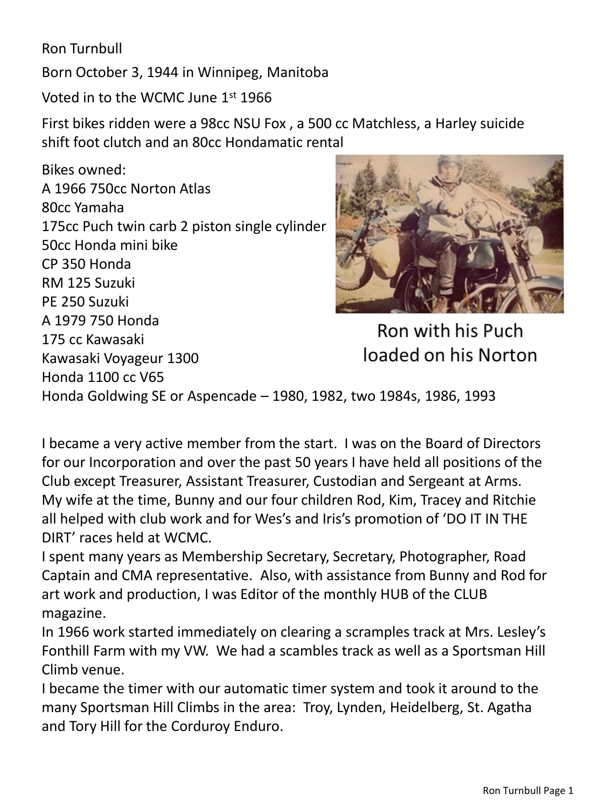Ron Turnbull

Born October 3, 1944 in Winnipeg, Manitoba

Voted in to the WCMC June 1<sup>st</sup> 1966

First bikes ridden were a 98cc NSU Fox , a 500 cc Matchless, a Harley suicide shift foot clutch and an 80cc Hondamatic rental

Bikes owned: A 1966 750cc Norton Atlas 80cc Yamaha 175cc Puch twin carb 2 piston single cylinder 50cc Honda mini bike CP 350 Honda RM 125 Suzuki PE 250 Suzuki A 1979 750 Honda 175 cc Kawasaki Kawasaki Voyageur 1300 Honda 1100 cc V65



Ron with his Puch loaded on his Norton

Honda Goldwing SE or Aspencade – 1980, 1982, two 1984s, 1986, 1993

I became a very active member from the start. I was on the Board of Directors for our Incorporation and over the past 50 years I have held all positions of the Club except Treasurer, Assistant Treasurer, Custodian and Sergeant at Arms. My wife at the time, Bunny and our four children Rod, Kim, Tracey and Ritchie all helped with club work and for Wes's and Iris's promotion of 'DO IT IN THE DIRT' races held at WCMC.

I spent many years as Membership Secretary, Secretary, Photographer, Road Captain and CMA representative. Also, with assistance from Bunny and Rod for art work and production, I was Editor of the monthly HUB of the CLUB magazine.

In 1966 work started immediately on clearing a scramples track at Mrs. Lesley's Fonthill Farm with my VW. We had a scambles track as well as a Sportsman Hill Climb venue.

I became the timer with our automatic timer system and took it around to the many Sportsman Hill Climbs in the area: Troy, Lynden, Heidelberg, St. Agatha and Tory Hill for the Corduroy Enduro.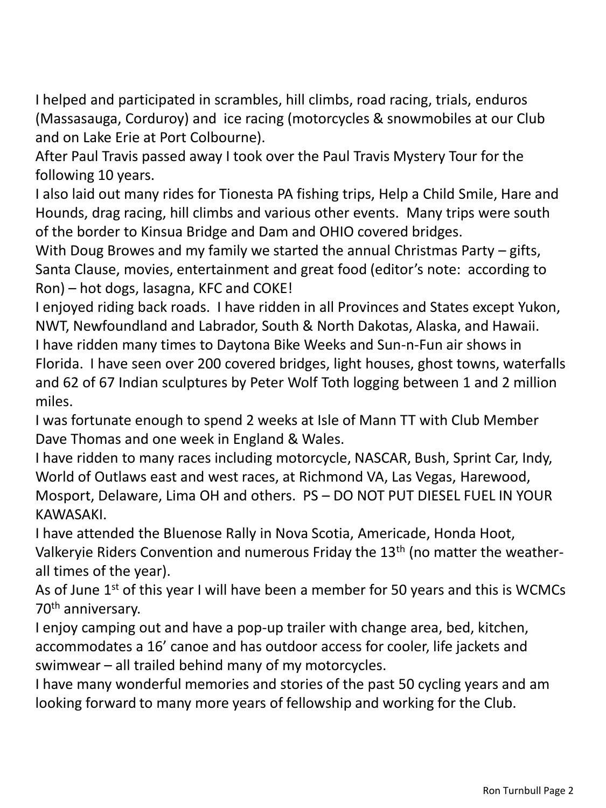I helped and participated in scrambles, hill climbs, road racing, trials, enduros (Massasauga, Corduroy) and ice racing (motorcycles & snowmobiles at our Club and on Lake Erie at Port Colbourne).

After Paul Travis passed away I took over the Paul Travis Mystery Tour for the following 10 years.

I also laid out many rides for Tionesta PA fishing trips, Help a Child Smile, Hare and Hounds, drag racing, hill climbs and various other events. Many trips were south of the border to Kinsua Bridge and Dam and OHIO covered bridges.

With Doug Browes and my family we started the annual Christmas Party – gifts, Santa Clause, movies, entertainment and great food (editor's note: according to Ron) – hot dogs, lasagna, KFC and COKE!

I enjoyed riding back roads. I have ridden in all Provinces and States except Yukon, NWT, Newfoundland and Labrador, South & North Dakotas, Alaska, and Hawaii. I have ridden many times to Daytona Bike Weeks and Sun-n-Fun air shows in Florida. I have seen over 200 covered bridges, light houses, ghost towns, waterfalls and 62 of 67 Indian sculptures by Peter Wolf Toth logging between 1 and 2 million miles.

I was fortunate enough to spend 2 weeks at Isle of Mann TT with Club Member Dave Thomas and one week in England & Wales.

I have ridden to many races including motorcycle, NASCAR, Bush, Sprint Car, Indy, World of Outlaws east and west races, at Richmond VA, Las Vegas, Harewood, Mosport, Delaware, Lima OH and others. PS – DO NOT PUT DIESEL FUEL IN YOUR KAWASAKI.

I have attended the Bluenose Rally in Nova Scotia, Americade, Honda Hoot, Valkeryie Riders Convention and numerous Friday the 13<sup>th</sup> (no matter the weatherall times of the year).

As of June 1<sup>st</sup> of this year I will have been a member for 50 years and this is WCMCs 70th anniversary.

I enjoy camping out and have a pop-up trailer with change area, bed, kitchen, accommodates a 16' canoe and has outdoor access for cooler, life jackets and swimwear – all trailed behind many of my motorcycles.

I have many wonderful memories and stories of the past 50 cycling years and am looking forward to many more years of fellowship and working for the Club.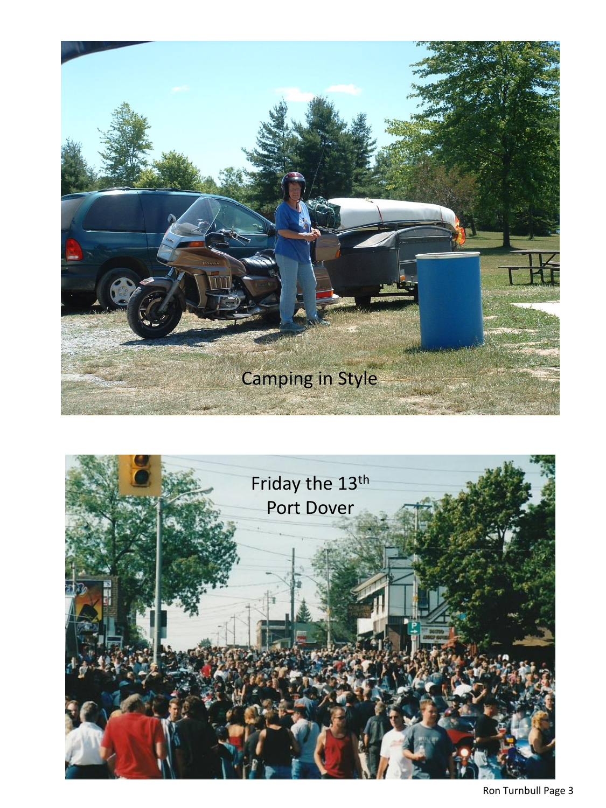

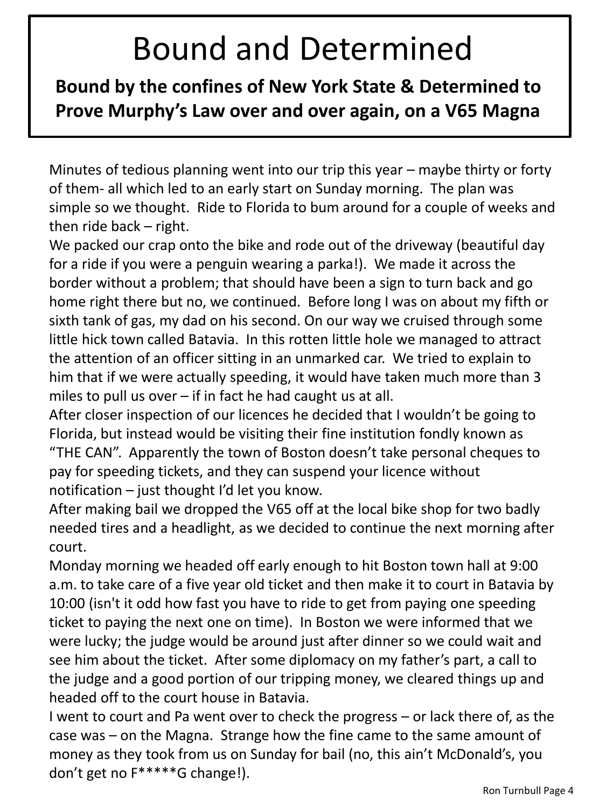## Bound and Determined

**Bound by the confines of New York State & Determined to Prove Murphy's Law over and over again, on a V65 Magna**

Minutes of tedious planning went into our trip this year – maybe thirty or forty of them- all which led to an early start on Sunday morning. The plan was simple so we thought. Ride to Florida to bum around for a couple of weeks and then ride back – right.

We packed our crap onto the bike and rode out of the driveway (beautiful day for a ride if you were a penguin wearing a parka!). We made it across the border without a problem; that should have been a sign to turn back and go home right there but no, we continued. Before long I was on about my fifth or sixth tank of gas, my dad on his second. On our way we cruised through some little hick town called Batavia. In this rotten little hole we managed to attract the attention of an officer sitting in an unmarked car. We tried to explain to him that if we were actually speeding, it would have taken much more than 3 miles to pull us over – if in fact he had caught us at all.

After closer inspection of our licences he decided that I wouldn't be going to Florida, but instead would be visiting their fine institution fondly known as "THE CAN". Apparently the town of Boston doesn't take personal cheques to pay for speeding tickets, and they can suspend your licence without notification – just thought I'd let you know.

After making bail we dropped the V65 off at the local bike shop for two badly needed tires and a headlight, as we decided to continue the next morning after court.

Monday morning we headed off early enough to hit Boston town hall at 9:00 a.m. to take care of a five year old ticket and then make it to court in Batavia by 10:00 (isn't it odd how fast you have to ride to get from paying one speeding ticket to paying the next one on time). In Boston we were informed that we were lucky; the judge would be around just after dinner so we could wait and see him about the ticket. After some diplomacy on my father's part, a call to the judge and a good portion of our tripping money, we cleared things up and headed off to the court house in Batavia.

I went to court and Pa went over to check the progress – or lack there of, as the case was – on the Magna. Strange how the fine came to the same amount of money as they took from us on Sunday for bail (no, this ain't McDonald's, you don't get no F\*\*\*\*\*G change!).